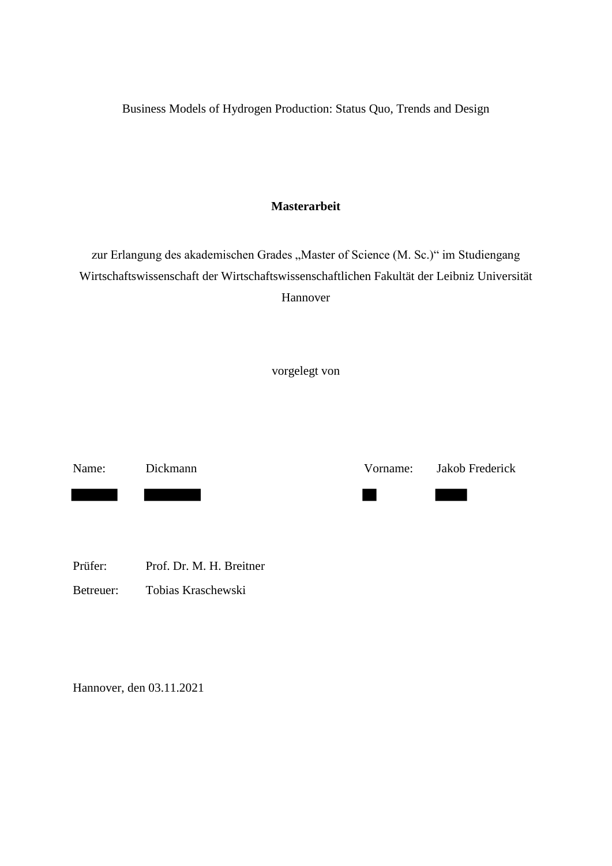Business Models of Hydrogen Production: Status Quo, Trends and Design

## **Masterarbeit**

zur Erlangung des akademischen Grades "Master of Science (M. Sc.)" im Studiengang Wirtschaftswissenschaft der Wirtschaftswissenschaftlichen Fakultät der Leibniz Universität Hannover

vorgelegt von

Name: Dickmann Vorname: Jakob Frederick ٠ 

Prüfer: Prof. Dr. M. H. Breitner

Betreuer: Tobias Kraschewski

Hannover, den 03.11.2021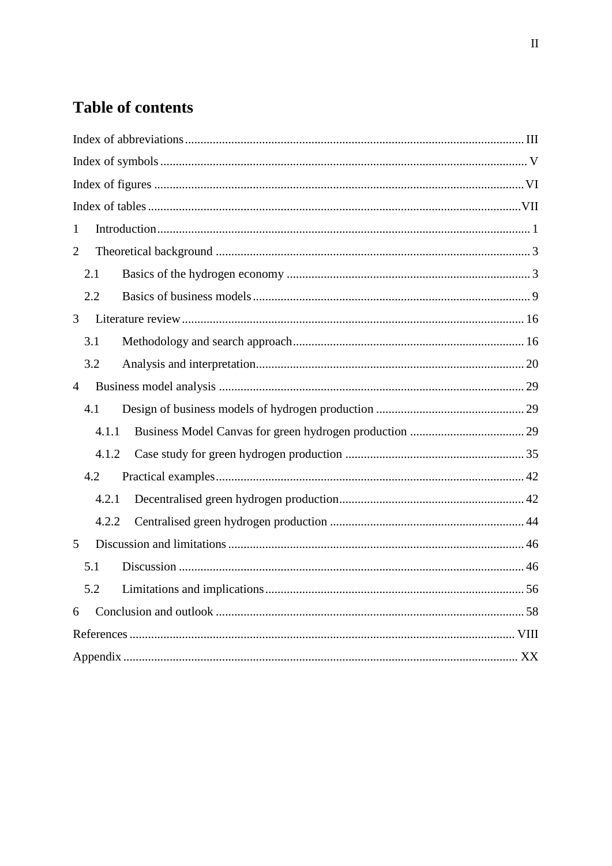## **Table of contents**

| $\mathbf{1}$   |  |
|----------------|--|
| $\overline{2}$ |  |
| 2.1            |  |
| 2.2            |  |
| 3              |  |
| 3.1            |  |
| 3.2            |  |
| $\overline{4}$ |  |
| 4.1            |  |
| 4.1.1          |  |
| 4.1.2          |  |
| 4.2            |  |
| 4.2.1          |  |
| 4.2.2          |  |
| 5              |  |
| 5.1            |  |
| 5.2            |  |
| 6              |  |
|                |  |
|                |  |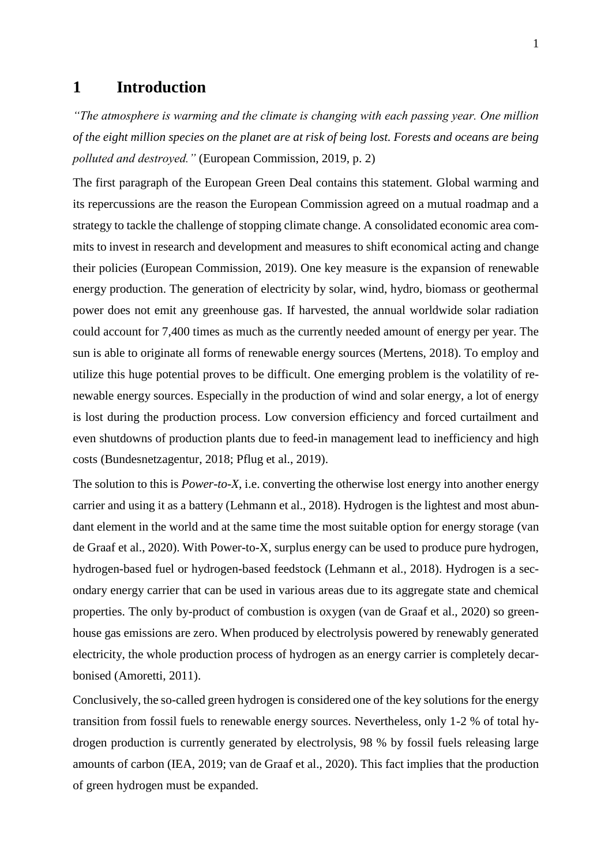## <span id="page-2-0"></span>**1 Introduction**

*"The atmosphere is warming and the climate is changing with each passing year. One million of the eight million species on the planet are at risk of being lost. Forests and oceans are being polluted and destroyed."* (European Commission, 2019, p. 2)

The first paragraph of the European Green Deal contains this statement. Global warming and its repercussions are the reason the European Commission agreed on a mutual roadmap and a strategy to tackle the challenge of stopping climate change. A consolidated economic area commits to invest in research and development and measures to shift economical acting and change their policies (European Commission, 2019). One key measure is the expansion of renewable energy production. The generation of electricity by solar, wind, hydro, biomass or geothermal power does not emit any greenhouse gas. If harvested, the annual worldwide solar radiation could account for 7,400 times as much as the currently needed amount of energy per year. The sun is able to originate all forms of renewable energy sources (Mertens, 2018). To employ and utilize this huge potential proves to be difficult. One emerging problem is the volatility of renewable energy sources. Especially in the production of wind and solar energy, a lot of energy is lost during the production process. Low conversion efficiency and forced curtailment and even shutdowns of production plants due to feed-in management lead to inefficiency and high costs (Bundesnetzagentur, 2018; Pflug et al., 2019).

The solution to this is *Power-to-X*, i.e. converting the otherwise lost energy into another energy carrier and using it as a battery (Lehmann et al., 2018). Hydrogen is the lightest and most abundant element in the world and at the same time the most suitable option for energy storage (van de Graaf et al., 2020). With Power-to-X, surplus energy can be used to produce pure hydrogen, hydrogen-based fuel or hydrogen-based feedstock (Lehmann et al., 2018). Hydrogen is a secondary energy carrier that can be used in various areas due to its aggregate state and chemical properties. The only by-product of combustion is oxygen (van de Graaf et al., 2020) so greenhouse gas emissions are zero. When produced by electrolysis powered by renewably generated electricity, the whole production process of hydrogen as an energy carrier is completely decarbonised (Amoretti, 2011).

Conclusively, the so-called green hydrogen is considered one of the key solutions for the energy transition from fossil fuels to renewable energy sources. Nevertheless, only 1-2 % of total hydrogen production is currently generated by electrolysis, 98 % by fossil fuels releasing large amounts of carbon (IEA, 2019; van de Graaf et al., 2020). This fact implies that the production of green hydrogen must be expanded.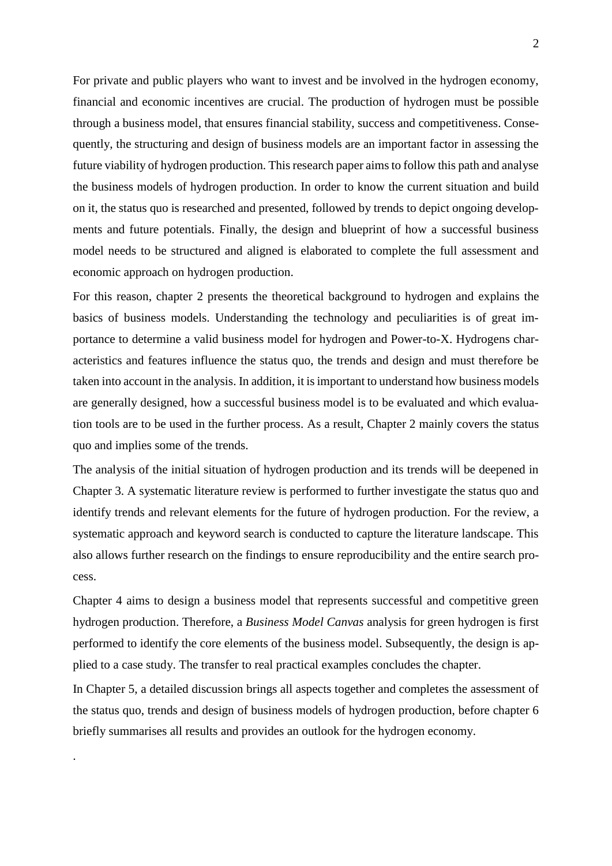For private and public players who want to invest and be involved in the hydrogen economy, financial and economic incentives are crucial. The production of hydrogen must be possible through a business model, that ensures financial stability, success and competitiveness. Consequently, the structuring and design of business models are an important factor in assessing the future viability of hydrogen production. This research paper aims to follow this path and analyse the business models of hydrogen production. In order to know the current situation and build on it, the status quo is researched and presented, followed by trends to depict ongoing developments and future potentials. Finally, the design and blueprint of how a successful business model needs to be structured and aligned is elaborated to complete the full assessment and economic approach on hydrogen production.

For this reason, chapter 2 presents the theoretical background to hydrogen and explains the basics of business models. Understanding the technology and peculiarities is of great importance to determine a valid business model for hydrogen and Power-to-X. Hydrogens characteristics and features influence the status quo, the trends and design and must therefore be taken into account in the analysis. In addition, it is important to understand how business models are generally designed, how a successful business model is to be evaluated and which evaluation tools are to be used in the further process. As a result, Chapter 2 mainly covers the status quo and implies some of the trends.

The analysis of the initial situation of hydrogen production and its trends will be deepened in Chapter 3. A systematic literature review is performed to further investigate the status quo and identify trends and relevant elements for the future of hydrogen production. For the review, a systematic approach and keyword search is conducted to capture the literature landscape. This also allows further research on the findings to ensure reproducibility and the entire search process.

Chapter 4 aims to design a business model that represents successful and competitive green hydrogen production. Therefore, a *Business Model Canvas* analysis for green hydrogen is first performed to identify the core elements of the business model. Subsequently, the design is applied to a case study. The transfer to real practical examples concludes the chapter.

In Chapter 5, a detailed discussion brings all aspects together and completes the assessment of the status quo, trends and design of business models of hydrogen production, before chapter 6 briefly summarises all results and provides an outlook for the hydrogen economy.

.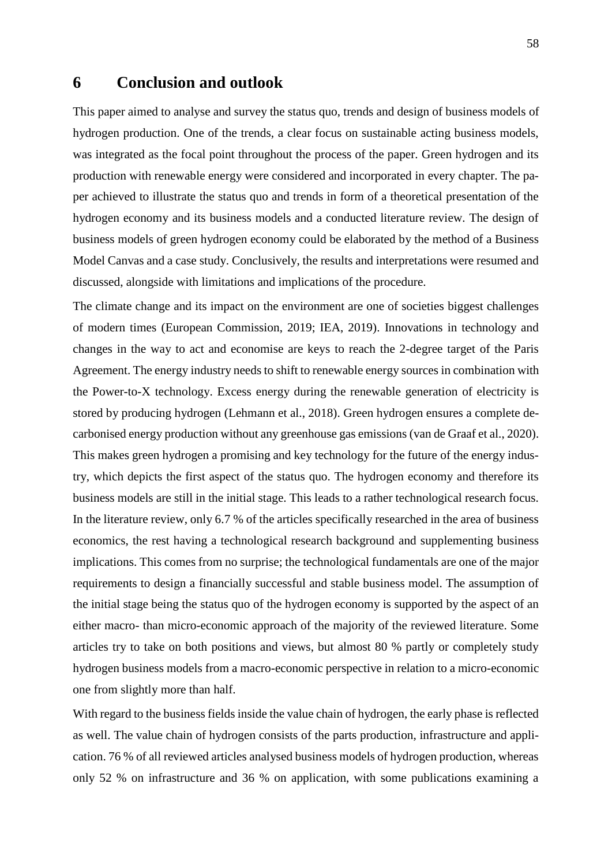## <span id="page-4-0"></span>**6 Conclusion and outlook**

This paper aimed to analyse and survey the status quo, trends and design of business models of hydrogen production. One of the trends, a clear focus on sustainable acting business models, was integrated as the focal point throughout the process of the paper. Green hydrogen and its production with renewable energy were considered and incorporated in every chapter. The paper achieved to illustrate the status quo and trends in form of a theoretical presentation of the hydrogen economy and its business models and a conducted literature review. The design of business models of green hydrogen economy could be elaborated by the method of a Business Model Canvas and a case study. Conclusively, the results and interpretations were resumed and discussed, alongside with limitations and implications of the procedure.

The climate change and its impact on the environment are one of societies biggest challenges of modern times (European Commission, 2019; IEA, 2019). Innovations in technology and changes in the way to act and economise are keys to reach the 2-degree target of the Paris Agreement. The energy industry needs to shift to renewable energy sources in combination with the Power-to-X technology. Excess energy during the renewable generation of electricity is stored by producing hydrogen (Lehmann et al., 2018). Green hydrogen ensures a complete decarbonised energy production without any greenhouse gas emissions (van de Graaf et al., 2020). This makes green hydrogen a promising and key technology for the future of the energy industry, which depicts the first aspect of the status quo. The hydrogen economy and therefore its business models are still in the initial stage. This leads to a rather technological research focus. In the literature review, only 6.7 % of the articles specifically researched in the area of business economics, the rest having a technological research background and supplementing business implications. This comes from no surprise; the technological fundamentals are one of the major requirements to design a financially successful and stable business model. The assumption of the initial stage being the status quo of the hydrogen economy is supported by the aspect of an either macro- than micro-economic approach of the majority of the reviewed literature. Some articles try to take on both positions and views, but almost 80 % partly or completely study hydrogen business models from a macro-economic perspective in relation to a micro-economic one from slightly more than half.

With regard to the business fields inside the value chain of hydrogen, the early phase is reflected as well. The value chain of hydrogen consists of the parts production, infrastructure and application. 76 % of all reviewed articles analysed business models of hydrogen production, whereas only 52 % on infrastructure and 36 % on application, with some publications examining a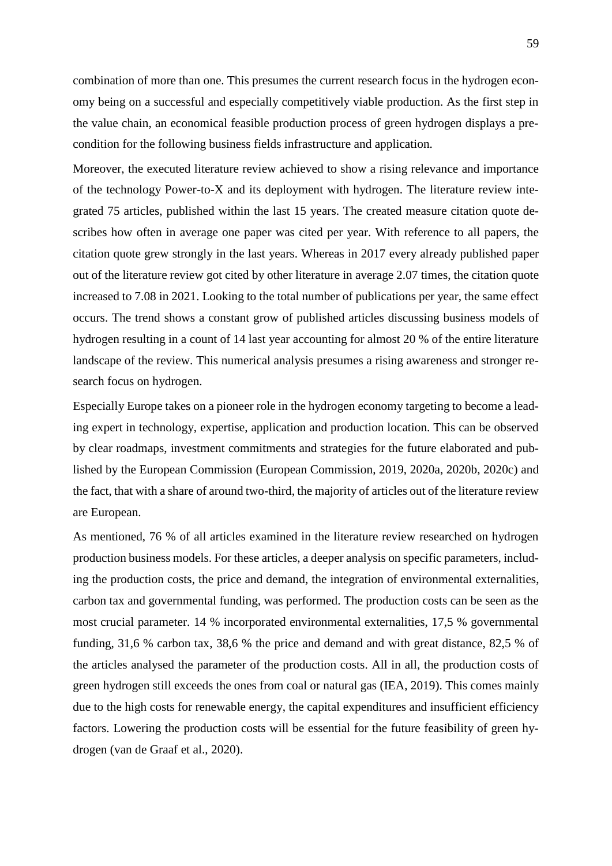combination of more than one. This presumes the current research focus in the hydrogen economy being on a successful and especially competitively viable production. As the first step in the value chain, an economical feasible production process of green hydrogen displays a precondition for the following business fields infrastructure and application.

Moreover, the executed literature review achieved to show a rising relevance and importance of the technology Power-to-X and its deployment with hydrogen. The literature review integrated 75 articles, published within the last 15 years. The created measure citation quote describes how often in average one paper was cited per year. With reference to all papers, the citation quote grew strongly in the last years. Whereas in 2017 every already published paper out of the literature review got cited by other literature in average 2.07 times, the citation quote increased to 7.08 in 2021. Looking to the total number of publications per year, the same effect occurs. The trend shows a constant grow of published articles discussing business models of hydrogen resulting in a count of 14 last year accounting for almost 20 % of the entire literature landscape of the review. This numerical analysis presumes a rising awareness and stronger research focus on hydrogen.

Especially Europe takes on a pioneer role in the hydrogen economy targeting to become a leading expert in technology, expertise, application and production location. This can be observed by clear roadmaps, investment commitments and strategies for the future elaborated and published by the European Commission (European Commission, 2019, 2020a, 2020b, 2020c) and the fact, that with a share of around two-third, the majority of articles out of the literature review are European.

As mentioned, 76 % of all articles examined in the literature review researched on hydrogen production business models. For these articles, a deeper analysis on specific parameters, including the production costs, the price and demand, the integration of environmental externalities, carbon tax and governmental funding, was performed. The production costs can be seen as the most crucial parameter. 14 % incorporated environmental externalities, 17,5 % governmental funding, 31,6 % carbon tax, 38,6 % the price and demand and with great distance, 82,5 % of the articles analysed the parameter of the production costs. All in all, the production costs of green hydrogen still exceeds the ones from coal or natural gas (IEA, 2019). This comes mainly due to the high costs for renewable energy, the capital expenditures and insufficient efficiency factors. Lowering the production costs will be essential for the future feasibility of green hydrogen (van de Graaf et al., 2020).